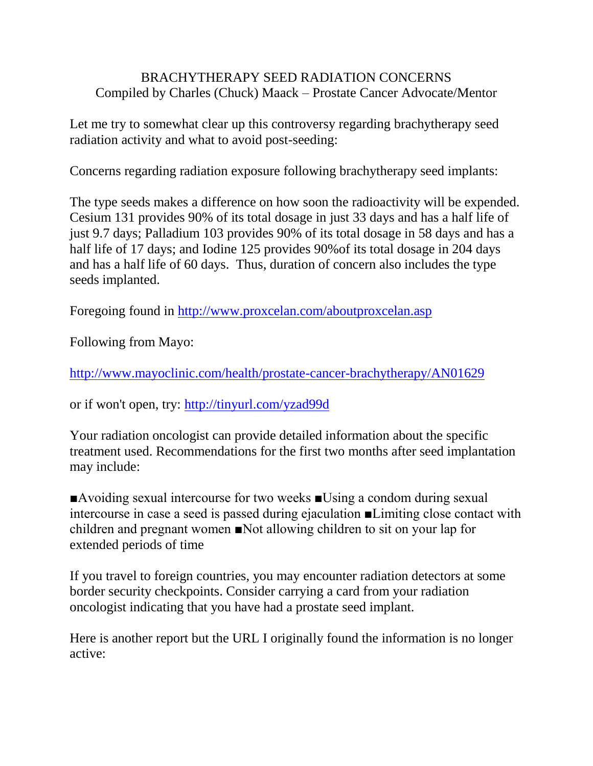## BRACHYTHERAPY SEED RADIATION CONCERNS Compiled by Charles (Chuck) Maack – Prostate Cancer Advocate/Mentor

Let me try to somewhat clear up this controversy regarding brachytherapy seed radiation activity and what to avoid post-seeding:

Concerns regarding radiation exposure following brachytherapy seed implants:

The type seeds makes a difference on how soon the radioactivity will be expended. Cesium 131 provides 90% of its total dosage in just 33 days and has a half life of just 9.7 days; Palladium 103 provides 90% of its total dosage in 58 days and has a half life of 17 days; and Iodine 125 provides 90%of its total dosage in 204 days and has a half life of 60 days. Thus, duration of concern also includes the type seeds implanted.

Foregoing found in<http://www.proxcelan.com/aboutproxcelan.asp>

Following from Mayo:

<http://www.mayoclinic.com/health/prostate-cancer-brachytherapy/AN01629>

or if won't open, try:<http://tinyurl.com/yzad99d>

Your radiation oncologist can provide detailed information about the specific treatment used. Recommendations for the first two months after seed implantation may include:

■Avoiding sexual intercourse for two weeks ■Using a condom during sexual intercourse in case a seed is passed during ejaculation ■Limiting close contact with children and pregnant women ■Not allowing children to sit on your lap for extended periods of time

If you travel to foreign countries, you may encounter radiation detectors at some border security checkpoints. Consider carrying a card from your radiation oncologist indicating that you have had a prostate seed implant.

Here is another report but the URL I originally found the information is no longer active: